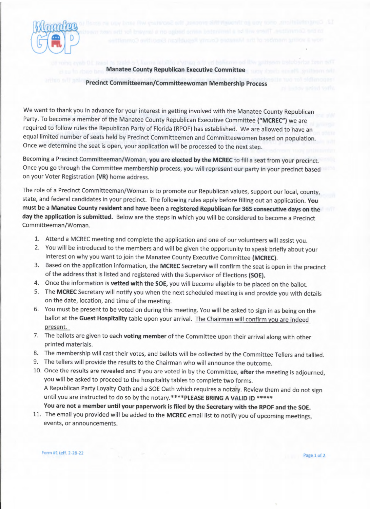

## Manatee County Republican Executive Committee

Precinct Committeeman/Committeewoman Membership Process

We want to thank you in advance for your interest in getting involved with the Manatee County Republican Party. To become a member of the Manatee County Republican Executive Committee ("MCREC") we are required to follow rules the Republican Party of Florida (RPOF) has established. We are allowed to nave ar equal limited number of seats held by Precinct Committeemen and Committeewomen based on population. Once we determine the seat is open, your application will be processed to the next step

Becoming a Precinct Committeeman/Woman, you are elected by the MCREC to fill a seat from your precinct. Once you go through the Committee membership process, you will represent our party in your precinct based on your Voter Registration (VR) home address.

The role of a Precinct Committeeman/Woman is to promote our Republican values, support our local, county, state, and federal candidates in your precinct. The following rules apply before filling out an application. You must be a Manatee County resident and have been a registered Republican for 365 consecutive days on the day the application is submitted. Below are the steps in which you will be considered to become a Precinct Committeeman/Woman.

- 1. Attend a MCREC meeting and complete the application and one of our volunteers will assist you.
- 2. You will be introduced to the members and will be given the opportunity to speak briefly about your interest on why you want to join the Manatee County Executive Committee (MCREC).
- 3. Based on the application information, the MCREC Secretary will confirm the seat is open in the precinct of the address that is listed and registered with the Supervisor of Elections (SOE).
- 4. Once the information is vetted with the SOE, you will become eligible to be placed on the ballot.
- 5. The MCREC Secretary will notify you when the next scheduled meeting is and provide you with details on the date, location, and time of the meeting.
- 6. You must be present to be voted on during this meeting. You will be asked to sign in as being on the ballot at the Guest Hospitality table upon your arrival. The Chairman will confirm you are indeed present.
- 7. The ballots are given to each voting member of the Committee upon their arrival along with other printed materials.
- 8. The membership will cast their votes, and ballots will be collected by the Committee Tellers and tallied.
- 9. The tellers will provide the results to the Chairman who will announce the outcome.
- 10. Once the results are revealed and if you are voted in by the Committee, after the meeting is adjourned, you will be asked to proceed to the hospitality tables to complete two forms. <sup>A</sup>Republican Party Loyalty Oath and a SOE Oath which requires a notary. Review them and do not sign until you are instructed to do so by the notary.\*\*\*\*PLEASE BRING A VALID ID \*\*\*\*\* You are not a member until your paperwork is filed by the Secretary with the RPOF and the SOE.
- 11. The email you provided will be added to the MCREC email list to notify you of upcoming meetings, events, or announcements.